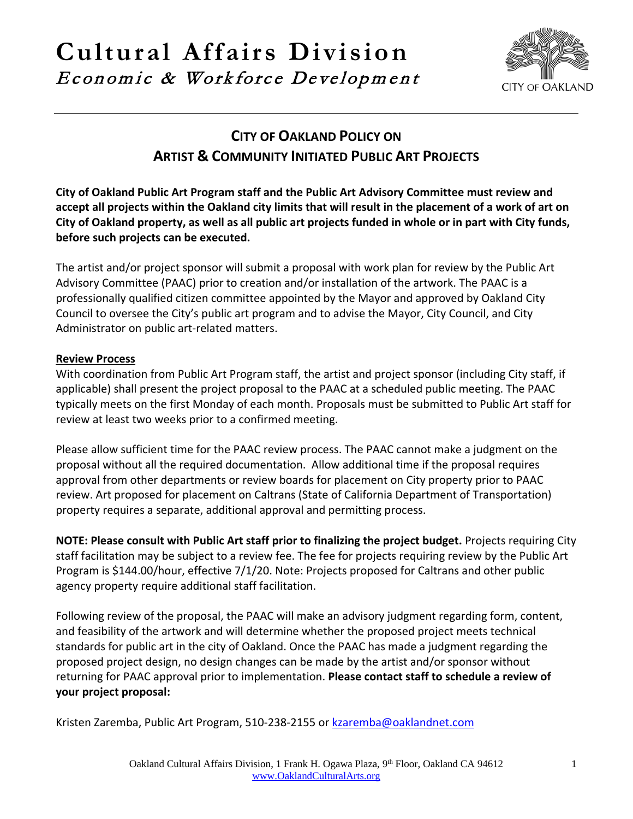# **Cultural Affairs Division** Economic & Workforce Development



## **CITY OF OAKLAND POLICY ON ARTIST & COMMUNITY INITIATED PUBLIC ART PROJECTS**

**City of Oakland Public Art Program staff and the Public Art Advisory Committee must review and accept all projects within the Oakland city limits that will result in the placement of a work of art on City of Oakland property, as well as all public art projects funded in whole or in part with City funds, before such projects can be executed.**

The artist and/or project sponsor will submit a proposal with work plan for review by the Public Art Advisory Committee (PAAC) prior to creation and/or installation of the artwork. The PAAC is a professionally qualified citizen committee appointed by the Mayor and approved by Oakland City Council to oversee the City's public art program and to advise the Mayor, City Council, and City Administrator on public art-related matters.

#### **Review Process**

With coordination from Public Art Program staff, the artist and project sponsor (including City staff, if applicable) shall present the project proposal to the PAAC at a scheduled public meeting. The PAAC typically meets on the first Monday of each month. Proposals must be submitted to Public Art staff for review at least two weeks prior to a confirmed meeting.

Please allow sufficient time for the PAAC review process. The PAAC cannot make a judgment on the proposal without all the required documentation. Allow additional time if the proposal requires approval from other departments or review boards for placement on City property prior to PAAC review. Art proposed for placement on Caltrans (State of California Department of Transportation) property requires a separate, additional approval and permitting process.

**NOTE: Please consult with Public Art staff prior to finalizing the project budget.** Projects requiring City staff facilitation may be subject to a review fee. The fee for projects requiring review by the Public Art Program is \$144.00/hour, effective 7/1/20. Note: Projects proposed for Caltrans and other public agency property require additional staff facilitation.

Following review of the proposal, the PAAC will make an advisory judgment regarding form, content, and feasibility of the artwork and will determine whether the proposed project meets technical standards for public art in the city of Oakland. Once the PAAC has made a judgment regarding the proposed project design, no design changes can be made by the artist and/or sponsor without returning for PAAC approval prior to implementation. **Please contact staff to schedule a review of your project proposal:**

Kristen Zaremba, Public Art Program, 510-238-2155 or [kzaremba@oaklandnet.com](mailto:kzaremba@oaklandnet.com)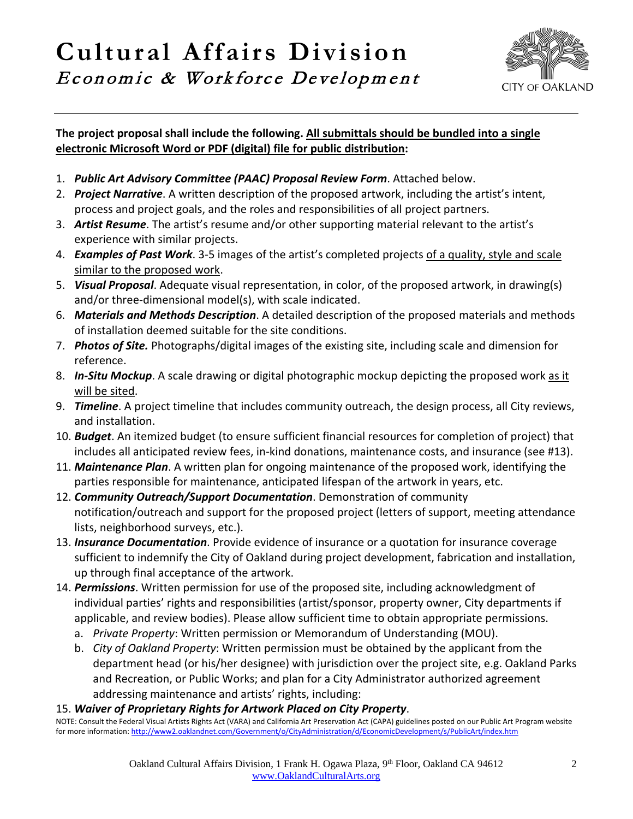# **Cultural Affairs Division** Economic & Workforce Development



#### **The project proposal shall include the following. All submittals should be bundled into a single electronic Microsoft Word or PDF (digital) file for public distribution:**

- 1. *Public Art Advisory Committee (PAAC) Proposal Review Form*. Attached below.
- 2. *Project Narrative*. A written description of the proposed artwork, including the artist's intent, process and project goals, and the roles and responsibilities of all project partners.
- 3. *Artist Resume*. The artist's resume and/or other supporting material relevant to the artist's experience with similar projects.
- 4. *Examples of Past Work*. 3-5 images of the artist's completed projects of a quality, style and scale similar to the proposed work.
- 5. *Visual Proposal*. Adequate visual representation, in color, of the proposed artwork, in drawing(s) and/or three-dimensional model(s), with scale indicated.
- 6. *Materials and Methods Description*. A detailed description of the proposed materials and methods of installation deemed suitable for the site conditions.
- 7. *Photos of Site.* Photographs/digital images of the existing site, including scale and dimension for reference.
- 8. *In-Situ Mockup*. A scale drawing or digital photographic mockup depicting the proposed work as it will be sited.
- 9. *Timeline*. A project timeline that includes community outreach, the design process, all City reviews, and installation.
- 10. *Budget*. An itemized budget (to ensure sufficient financial resources for completion of project) that includes all anticipated review fees, in-kind donations, maintenance costs, and insurance (see #13).
- 11. *Maintenance Plan*. A written plan for ongoing maintenance of the proposed work, identifying the parties responsible for maintenance, anticipated lifespan of the artwork in years, etc.
- 12. *Community Outreach/Support Documentation*. Demonstration of community notification/outreach and support for the proposed project (letters of support, meeting attendance lists, neighborhood surveys, etc.).
- 13. *Insurance Documentation*. Provide evidence of insurance or a quotation for insurance coverage sufficient to indemnify the City of Oakland during project development, fabrication and installation, up through final acceptance of the artwork.
- 14. *Permissions*. Written permission for use of the proposed site, including acknowledgment of individual parties' rights and responsibilities (artist/sponsor, property owner, City departments if applicable, and review bodies). Please allow sufficient time to obtain appropriate permissions.
	- a. *Private Property*: Written permission or Memorandum of Understanding (MOU).
	- b. *City of Oakland Property*: Written permission must be obtained by the applicant from the department head (or his/her designee) with jurisdiction over the project site, e.g. Oakland Parks and Recreation, or Public Works; and plan for a City Administrator authorized agreement addressing maintenance and artists' rights, including:

15. Waiver of Proprietary Rights for Artwork Placed on City Property.<br>NOTE: Consult the Federal Visual Artists Rights Act (VARA) and California Art Preservation Act (CAPA) guidelines posted on our Public Art Program websit for more information[: http://www2.oaklandnet.com/Government/o/CityAdministration/d/EconomicDevelopment/s/PublicArt/index.htm](http://www2.oaklandnet.com/Government/o/CityAdministration/d/EconomicDevelopment/s/PublicArt/index.htm)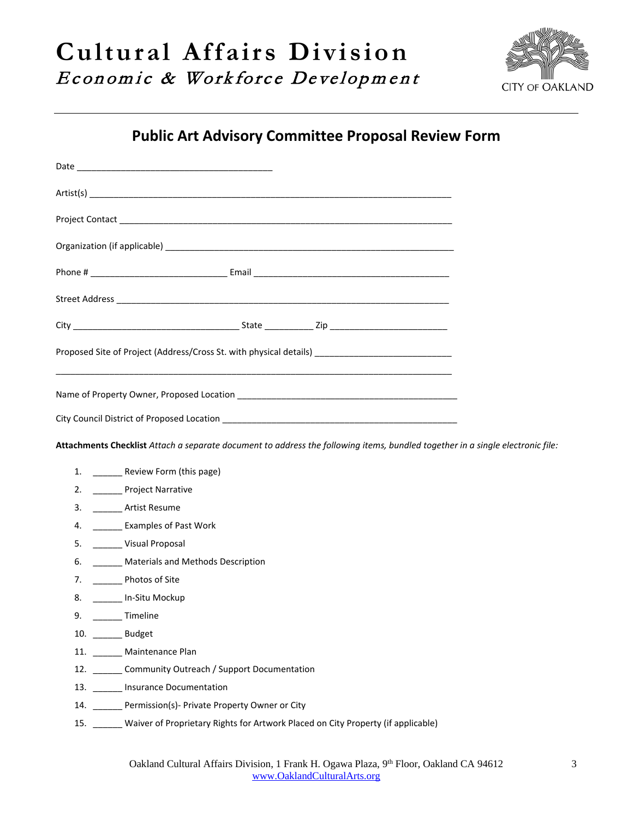

## **Public Art Advisory Committee Proposal Review Form**

| Proposed Site of Project (Address/Cross St. with physical details) _________________________________                           |                                                                                            |
|--------------------------------------------------------------------------------------------------------------------------------|--------------------------------------------------------------------------------------------|
|                                                                                                                                |                                                                                            |
|                                                                                                                                |                                                                                            |
| Attachments Checklist Attach a separate document to address the following items, bundled together in a single electronic file: |                                                                                            |
|                                                                                                                                | 1. _________ Review Form (this page)                                                       |
|                                                                                                                                | 2. _________ Project Narrative                                                             |
|                                                                                                                                | 3. <b>Artist Resume</b>                                                                    |
|                                                                                                                                | 4. _________ Examples of Past Work                                                         |
|                                                                                                                                | 5. ______ Visual Proposal                                                                  |
|                                                                                                                                | 6. _______ Materials and Methods Description                                               |
|                                                                                                                                | 7. ___________________ Photos of Site                                                      |
|                                                                                                                                | 8. _____ In-Situ Mockup                                                                    |
| 9. _______ Timeline                                                                                                            |                                                                                            |
| 10. _______ Budget                                                                                                             |                                                                                            |
|                                                                                                                                | 11. _______ Maintenance Plan                                                               |
|                                                                                                                                | 12. _______ Community Outreach / Support Documentation                                     |
|                                                                                                                                | 13. ______ Insurance Documentation                                                         |
|                                                                                                                                | 14. ______ Permission(s)- Private Property Owner or City                                   |
|                                                                                                                                | 15. _____ Waiver of Proprietary Rights for Artwork Placed on City Property (if applicable) |